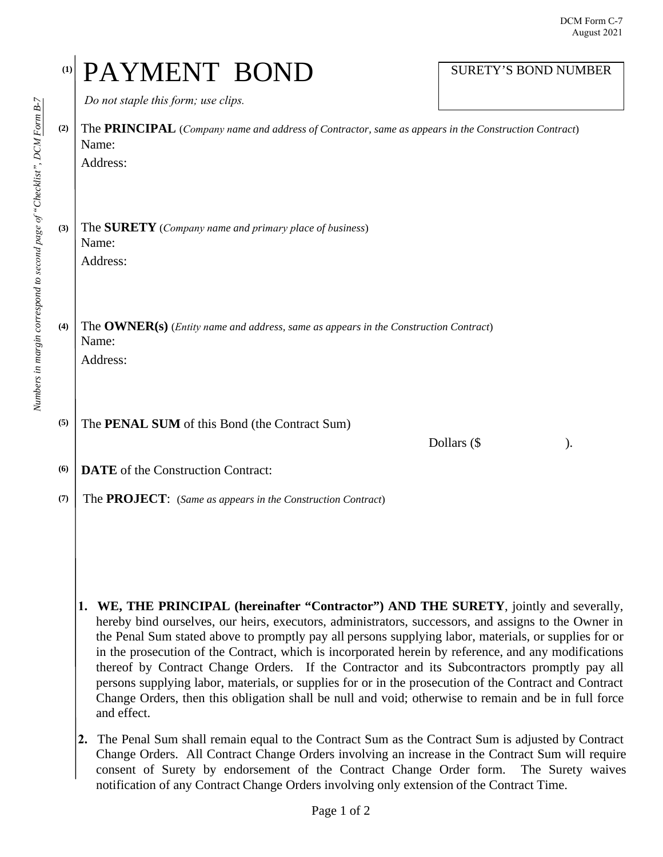| (1) | PAYMENT BOND                                                                                                                                                                                                                                                                                                                                                                                                                                                                                                                                                                                                                                                                                                                                        | <b>SURETY'S BOND NUMBER</b> |  |
|-----|-----------------------------------------------------------------------------------------------------------------------------------------------------------------------------------------------------------------------------------------------------------------------------------------------------------------------------------------------------------------------------------------------------------------------------------------------------------------------------------------------------------------------------------------------------------------------------------------------------------------------------------------------------------------------------------------------------------------------------------------------------|-----------------------------|--|
|     | Do not staple this form; use clips.                                                                                                                                                                                                                                                                                                                                                                                                                                                                                                                                                                                                                                                                                                                 |                             |  |
| (2) | The PRINCIPAL (Company name and address of Contractor, same as appears in the Construction Contract)<br>Name:<br>Address:                                                                                                                                                                                                                                                                                                                                                                                                                                                                                                                                                                                                                           |                             |  |
| (3) | The <b>SURETY</b> (Company name and primary place of business)<br>Name:<br>Address:                                                                                                                                                                                                                                                                                                                                                                                                                                                                                                                                                                                                                                                                 |                             |  |
| (4) | The OWNER(s) (Entity name and address, same as appears in the Construction Contract)<br>Name:<br>Address:                                                                                                                                                                                                                                                                                                                                                                                                                                                                                                                                                                                                                                           |                             |  |
| (5) | The <b>PENAL SUM</b> of this Bond (the Contract Sum)                                                                                                                                                                                                                                                                                                                                                                                                                                                                                                                                                                                                                                                                                                | Dollars (\$                 |  |
| (6) | <b>DATE</b> of the Construction Contract:                                                                                                                                                                                                                                                                                                                                                                                                                                                                                                                                                                                                                                                                                                           |                             |  |
| (7) | The PROJECT: (Same as appears in the Construction Contract)                                                                                                                                                                                                                                                                                                                                                                                                                                                                                                                                                                                                                                                                                         |                             |  |
|     | WE, THE PRINCIPAL (hereinafter "Contractor") AND THE SURETY, jointly and severally,<br>1.<br>hereby bind ourselves, our heirs, executors, administrators, successors, and assigns to the Owner in<br>the Penal Sum stated above to promptly pay all persons supplying labor, materials, or supplies for or<br>in the prosecution of the Contract, which is incorporated herein by reference, and any modifications<br>thereof by Contract Change Orders. If the Contractor and its Subcontractors promptly pay all<br>persons supplying labor, materials, or supplies for or in the prosecution of the Contract and Contract<br>Change Orders, then this obligation shall be null and void; otherwise to remain and be in full force<br>and effect. |                             |  |
|     | The Penal Sum shall remain equal to the Contract Sum as the Contract Sum is adjusted by Contract<br>2.<br>Change Orders. All Contract Change Orders involving an increase in the Contract Sum will require<br>consent of Surety by endorsement of the Contract Change Order form.<br>notification of any Contract Change Orders involving only extension of the Contract Time.                                                                                                                                                                                                                                                                                                                                                                      | The Surety waives           |  |